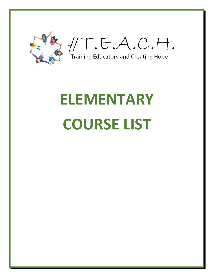

 $\#T.E.A.C.H.$ 

Training Educators and Creating Hope

## **ELEMENTARY COURSE LIST**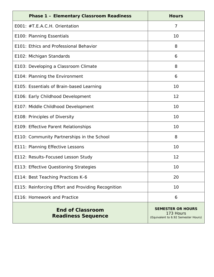| <b>Phase 1 - Elementary Classroom Readiness</b>      | <b>Hours</b>                                                                 |
|------------------------------------------------------|------------------------------------------------------------------------------|
| E001: #T.E.A.C.H. Orientation                        | 7                                                                            |
| E100: Planning Essentials                            | 10                                                                           |
| E101: Ethics and Professional Behavior               | 8                                                                            |
| E102: Michigan Standards                             | 6                                                                            |
| E103: Developing a Classroom Climate                 | 8                                                                            |
| E104: Planning the Environment                       | 6                                                                            |
| E105: Essentials of Brain-based Learning             | 10                                                                           |
| E106: Early Childhood Development                    | 12                                                                           |
| E107: Middle Childhood Development                   | 10                                                                           |
| E108: Principles of Diversity                        | 10                                                                           |
| E109: Effective Parent Relationships                 | 10                                                                           |
| E110: Community Partnerships in the School           | 8                                                                            |
| E111: Planning Effective Lessons                     | 10                                                                           |
| E112: Results-Focused Lesson Study                   | 12                                                                           |
| E113: Effective Questioning Strategies               | 10                                                                           |
| E114: Best Teaching Practices K-6                    | 20                                                                           |
| E115: Reinforcing Effort and Providing Recognition   | 10                                                                           |
| E116: Homework and Practice                          | 6                                                                            |
| <b>End of Classroom</b><br><b>Readiness Sequence</b> | <b>SEMESTER OR HOURS</b><br>173 Hours<br>(Equivalent to 6.92 Semester Hours) |